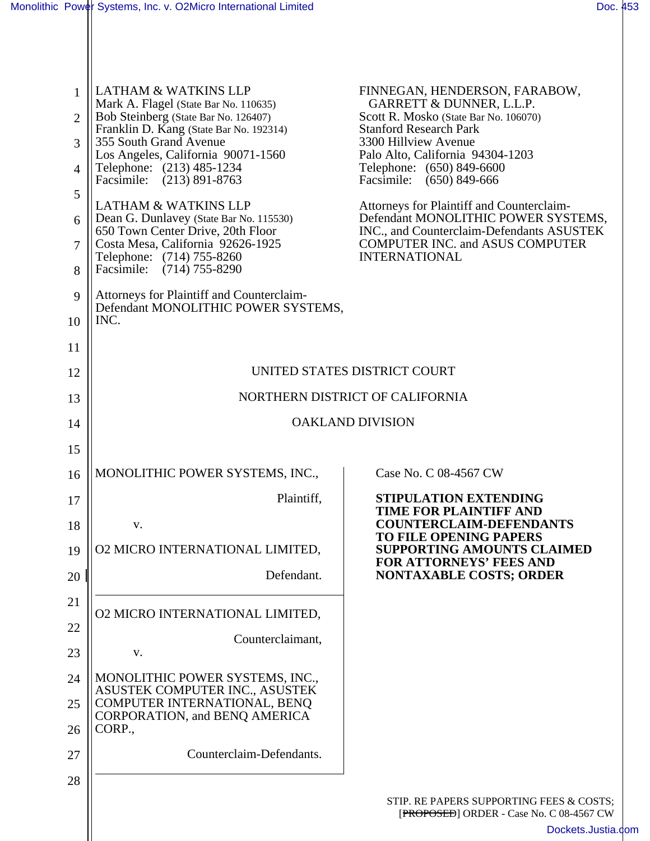| $\mathbf{1}$   | <b>LATHAM &amp; WATKINS LLP</b>                                                              | FINNEGAN, HENDERSON, FARABOW,<br>GARRETT & DUNNER, L.L.P.                                 |
|----------------|----------------------------------------------------------------------------------------------|-------------------------------------------------------------------------------------------|
| $\overline{2}$ | Mark A. Flagel (State Bar No. 110635)<br>Bob Steinberg (State Bar No. 126407)                | Scott R. Mosko (State Bar No. 106070)<br><b>Stanford Research Park</b>                    |
| 3              | Franklin D. Kang (State Bar No. 192314)<br>355 South Grand Avenue                            | 3300 Hillview Avenue                                                                      |
| $\overline{4}$ | Los Angeles, California 90071-1560<br>Telephone: (213) 485-1234<br>Facsimile: (213) 891-8763 | Palo Alto, California 94304-1203<br>Telephone: (650) 849-6600<br>Facsimile: (650) 849-666 |
| 5              | <b>LATHAM &amp; WATKINS LLP</b>                                                              | Attorneys for Plaintiff and Counterclaim-                                                 |
| 6              | Dean G. Dunlavey (State Bar No. 115530)<br>650 Town Center Drive, 20th Floor                 | Defendant MONOLITHIC POWER SYSTEMS,<br>INC., and Counterclaim-Defendants ASUSTEK          |
| 7              | Costa Mesa, California 92626-1925<br>Telephone: (714) 755-8260                               | <b>COMPUTER INC. and ASUS COMPUTER</b><br><b>INTERNATIONAL</b>                            |
| 8              | Facsimile: (714) 755-8290                                                                    |                                                                                           |
| 9              | Attorneys for Plaintiff and Counterclaim-<br>Defendant MONOLITHIC POWER SYSTEMS,             |                                                                                           |
| 10             | INC.                                                                                         |                                                                                           |
| 11             |                                                                                              |                                                                                           |
| 12             | UNITED STATES DISTRICT COURT                                                                 |                                                                                           |
| 13             | NORTHERN DISTRICT OF CALIFORNIA                                                              |                                                                                           |
| 14             | <b>OAKLAND DIVISION</b>                                                                      |                                                                                           |
| 15             |                                                                                              |                                                                                           |
| 16             | MONOLITHIC POWER SYSTEMS, INC.,                                                              | Case No. C 08-4567 CW                                                                     |
| 17             | Plaintiff.                                                                                   | <b>STIPULATION EXTENDING</b><br><b>TIME FOR PLAINTIFF AND</b>                             |
| 18             | V.                                                                                           | <b>COUNTERCLAIM-DEFENDANTS</b><br><b>TO FILE OPENING PAPERS</b>                           |
| 19             | <b>02 MICRO INTERNATIONAL LIMITED,</b>                                                       | SUPPORTING AMOUNTS CLAIMED<br><b>FOR ATTORNEYS' FEES AND</b>                              |
| 20             | Defendant.                                                                                   | <b>NONTAXABLE COSTS; ORDER</b>                                                            |
| 21             | <b>02 MICRO INTERNATIONAL LIMITED,</b>                                                       |                                                                                           |
| 22             | Counterclaimant,                                                                             |                                                                                           |
| 23             | V.                                                                                           |                                                                                           |
| 24             | MONOLITHIC POWER SYSTEMS, INC.,<br>ASUSTEK COMPUTER INC., ASUSTEK                            |                                                                                           |
| 25             | COMPUTER INTERNATIONAL, BENQ<br>CORPORATION, and BENQ AMERICA                                |                                                                                           |
| 26             | CORP.,                                                                                       |                                                                                           |
| 27             | Counterclaim-Defendants.                                                                     |                                                                                           |
| 28             |                                                                                              |                                                                                           |
|                |                                                                                              | STIP. RE PAPERS SUPPORTING FEES & COSTS;<br>[PROPOSED] ORDER - Case No. C 08-4567 CW      |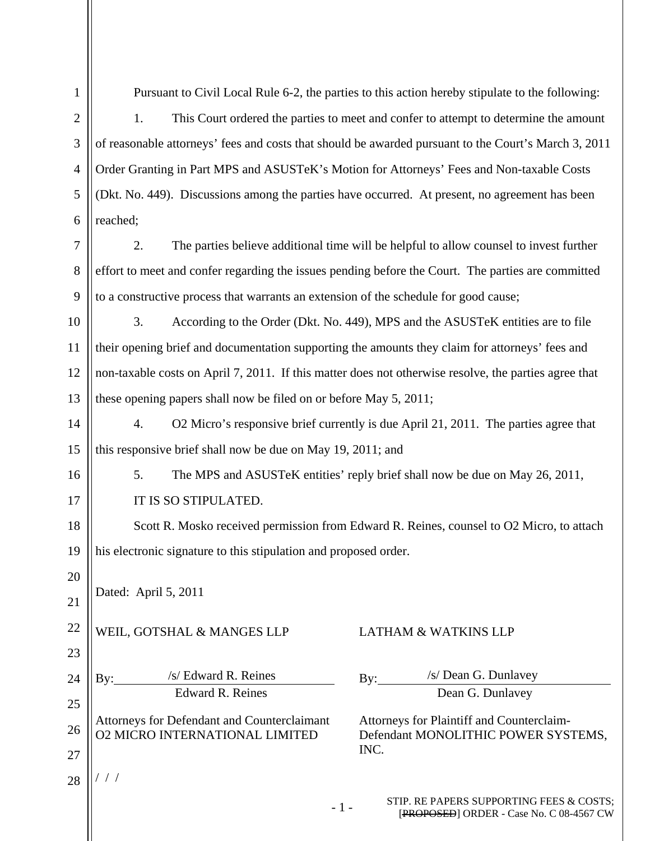| $\mathbf{1}$   | Pursuant to Civil Local Rule 6-2, the parties to this action hereby stipulate to the following:                                                                          |  |
|----------------|--------------------------------------------------------------------------------------------------------------------------------------------------------------------------|--|
| $\overline{2}$ | 1.<br>This Court ordered the parties to meet and confer to attempt to determine the amount                                                                               |  |
| 3              | of reasonable attorneys' fees and costs that should be awarded pursuant to the Court's March 3, 2011                                                                     |  |
| $\overline{4}$ | Order Granting in Part MPS and ASUSTeK's Motion for Attorneys' Fees and Non-taxable Costs                                                                                |  |
| 5              | (Dkt. No. 449). Discussions among the parties have occurred. At present, no agreement has been                                                                           |  |
| 6              | reached;                                                                                                                                                                 |  |
| 7              | 2.<br>The parties believe additional time will be helpful to allow counsel to invest further                                                                             |  |
| 8              | effort to meet and confer regarding the issues pending before the Court. The parties are committed                                                                       |  |
| 9              | to a constructive process that warrants an extension of the schedule for good cause;                                                                                     |  |
| 10             | 3.<br>According to the Order (Dkt. No. 449), MPS and the ASUSTeK entities are to file                                                                                    |  |
| 11             | their opening brief and documentation supporting the amounts they claim for attorneys' fees and                                                                          |  |
| 12             | non-taxable costs on April 7, 2011. If this matter does not otherwise resolve, the parties agree that                                                                    |  |
| 13             | these opening papers shall now be filed on or before May 5, 2011;                                                                                                        |  |
| 14             | O2 Micro's responsive brief currently is due April 21, 2011. The parties agree that<br>4.                                                                                |  |
| 15             | this responsive brief shall now be due on May 19, 2011; and                                                                                                              |  |
| 16             | 5.<br>The MPS and ASUSTeK entities' reply brief shall now be due on May 26, 2011,                                                                                        |  |
| 17             | IT IS SO STIPULATED.                                                                                                                                                     |  |
| 18             | Scott R. Mosko received permission from Edward R. Reines, counsel to O2 Micro, to attach                                                                                 |  |
| 19             | his electronic signature to this stipulation and proposed order.                                                                                                         |  |
| 20             | Dated: April 5, 2011                                                                                                                                                     |  |
| 21             |                                                                                                                                                                          |  |
| 22             | WEIL, GOTSHAL & MANGES LLP<br><b>LATHAM &amp; WATKINS LLP</b>                                                                                                            |  |
| 23             |                                                                                                                                                                          |  |
| 24             | /s/ Dean G. Dunlavey<br>/s/ Edward R. Reines<br>By:<br>By:<br><b>Edward R. Reines</b><br>Dean G. Dunlavey                                                                |  |
| 25             |                                                                                                                                                                          |  |
| 26             | Attorneys for Defendant and Counterclaimant<br>Attorneys for Plaintiff and Counterclaim-<br><b>02 MICRO INTERNATIONAL LIMITED</b><br>Defendant MONOLITHIC POWER SYSTEMS, |  |
| 27             | INC.                                                                                                                                                                     |  |
| 28             |                                                                                                                                                                          |  |
|                | STIP. RE PAPERS SUPPORTING FEES & COSTS;                                                                                                                                 |  |